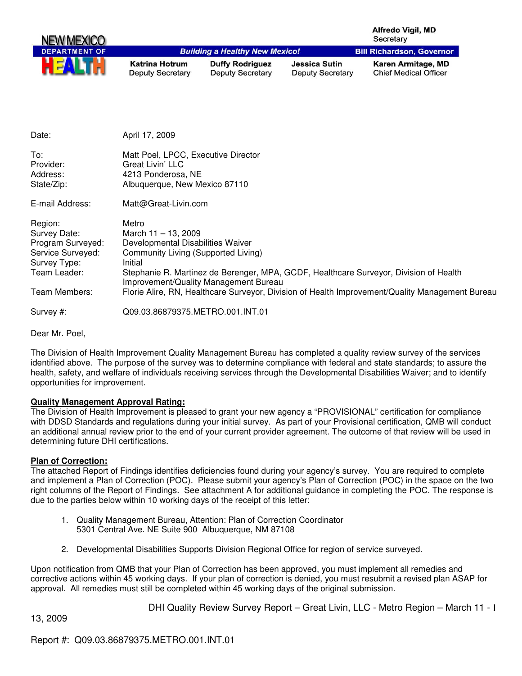|                                                                                                                    |                                                                                                                       |                                                   |                                          | <b>Alfredo Vigil, MD</b><br>Secretary                                                                                                                                                    |
|--------------------------------------------------------------------------------------------------------------------|-----------------------------------------------------------------------------------------------------------------------|---------------------------------------------------|------------------------------------------|------------------------------------------------------------------------------------------------------------------------------------------------------------------------------------------|
|                                                                                                                    |                                                                                                                       | <b>Building a Healthy New Mexico!</b>             |                                          | <b>Bill Richardson, Governor</b>                                                                                                                                                         |
|                                                                                                                    | <b>Katrina Hotrum</b><br><b>Deputy Secretary</b>                                                                      | <b>Duffy Rodriguez</b><br><b>Deputy Secretary</b> | Jessica Sutin<br><b>Deputy Secretary</b> | Karen Armitage, MD<br><b>Chief Medical Officer</b>                                                                                                                                       |
| Date:                                                                                                              | April 17, 2009                                                                                                        |                                                   |                                          |                                                                                                                                                                                          |
|                                                                                                                    |                                                                                                                       |                                                   |                                          |                                                                                                                                                                                          |
| To:<br>Provider:<br>Address:<br>State/Zip:                                                                         | Matt Poel, LPCC, Executive Director<br><b>Great Livin' LLC</b><br>4213 Ponderosa, NE<br>Albuquerque, New Mexico 87110 |                                                   |                                          |                                                                                                                                                                                          |
| E-mail Address:                                                                                                    | Matt@Great-Livin.com                                                                                                  |                                                   |                                          |                                                                                                                                                                                          |
| Region:<br>Survey Date:<br>Program Surveyed:<br>Service Surveyed:<br>Survey Type:<br>Team Leader:<br>Team Members: | Metro<br>March 11 - 13, 2009<br>Developmental Disabilities Waiver<br>Community Living (Supported Living)<br>Initial   | Improvement/Quality Management Bureau             |                                          | Stephanie R. Martinez de Berenger, MPA, GCDF, Healthcare Surveyor, Division of Health<br>Florie Alire, RN, Healthcare Surveyor, Division of Health Improvement/Quality Management Bureau |
| Survey #:                                                                                                          | Q09.03.86879375.METRO.001.INT.01                                                                                      |                                                   |                                          |                                                                                                                                                                                          |

Dear Mr. Poel,

The Division of Health Improvement Quality Management Bureau has completed a quality review survey of the services identified above. The purpose of the survey was to determine compliance with federal and state standards; to assure the health, safety, and welfare of individuals receiving services through the Developmental Disabilities Waiver; and to identify opportunities for improvement.

# **Quality Management Approval Rating:**

The Division of Health Improvement is pleased to grant your new agency a "PROVISIONAL" certification for compliance with DDSD Standards and regulations during your initial survey. As part of your Provisional certification, QMB will conduct an additional annual review prior to the end of your current provider agreement. The outcome of that review will be used in determining future DHI certifications.

# **Plan of Correction:**

The attached Report of Findings identifies deficiencies found during your agency's survey. You are required to complete and implement a Plan of Correction (POC). Please submit your agency's Plan of Correction (POC) in the space on the two right columns of the Report of Findings. See attachment A for additional guidance in completing the POC. The response is due to the parties below within 10 working days of the receipt of this letter:

- 1. Quality Management Bureau, Attention: Plan of Correction Coordinator 5301 Central Ave. NE Suite 900 Albuquerque, NM 87108
- 2. Developmental Disabilities Supports Division Regional Office for region of service surveyed.

Upon notification from QMB that your Plan of Correction has been approved, you must implement all remedies and corrective actions within 45 working days. If your plan of correction is denied, you must resubmit a revised plan ASAP for approval. All remedies must still be completed within 45 working days of the original submission.

13, 2009

DHI Quality Review Survey Report – Great Livin, LLC - Metro Region – March 11 - 1

Report #: Q09.03.86879375.METRO.001.INT.01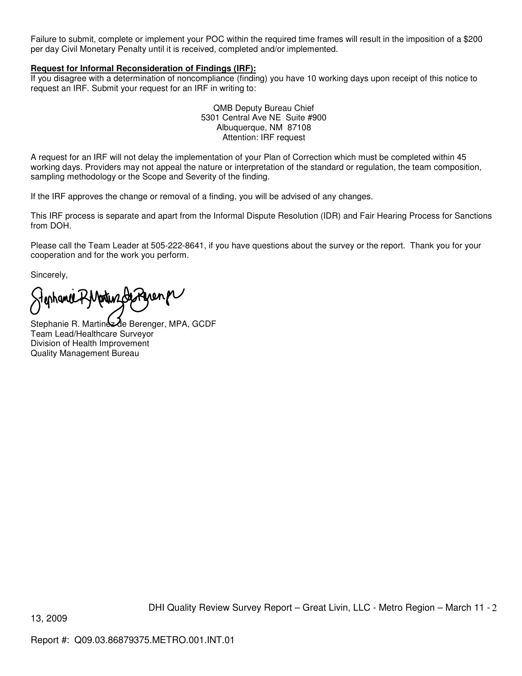Failure to submit, complete or implement your POC within the required time frames will result in the imposition of a \$200 per day Civil Monetary Penalty until it is received, completed and/or implemented.

### **Request for Informal Reconsideration of Findings (IRF):**

If you disagree with a determination of noncompliance (finding) you have 10 working days upon receipt of this notice to request an IRF. Submit your request for an IRF in writing to:

> QMB Deputy Bureau Chief 5301 Central Ave NE Suite #900 Albuquerque, NM 87108 Attention: IRF request

A request for an IRF will not delay the implementation of your Plan of Correction which must be completed within 45 working days. Providers may not appeal the nature or interpretation of the standard or regulation, the team composition, sampling methodology or the Scope and Severity of the finding.

If the IRF approves the change or removal of a finding, you will be advised of any changes.

This IRF process is separate and apart from the Informal Dispute Resolution (IDR) and Fair Hearing Process for Sanctions from DOH.

Please call the Team Leader at 505-222-8641, if you have questions about the survey or the report. Thank you for your cooperation and for the work you perform.

Sincerely,

enhance RMartin Gesteren

Stephanie R. Martinez de Berenger, MPA, GCDF Team Lead/Healthcare Surveyor Division of Health Improvement Quality Management Bureau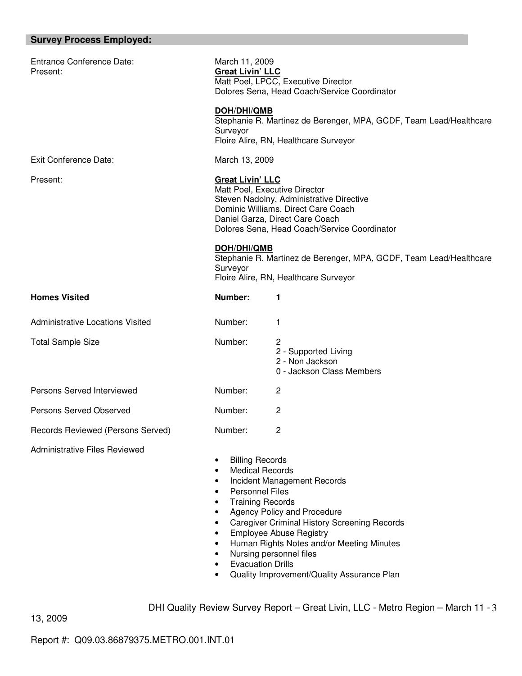# **Survey Process Employed:**

| <b>Entrance Conference Date:</b><br>Present: | March 11, 2009<br><b>Great Livin' LLC</b><br>Matt Poel, LPCC, Executive Director<br>Dolores Sena, Head Coach/Service Coordinator                                                                                                                            |                                                                                                                                                                                                                                                                           |
|----------------------------------------------|-------------------------------------------------------------------------------------------------------------------------------------------------------------------------------------------------------------------------------------------------------------|---------------------------------------------------------------------------------------------------------------------------------------------------------------------------------------------------------------------------------------------------------------------------|
|                                              | DOH/DHI/QMB<br>Surveyor                                                                                                                                                                                                                                     | Stephanie R. Martinez de Berenger, MPA, GCDF, Team Lead/Healthcare<br>Floire Alire, RN, Healthcare Surveyor                                                                                                                                                               |
| <b>Exit Conference Date:</b>                 | March 13, 2009                                                                                                                                                                                                                                              |                                                                                                                                                                                                                                                                           |
| Present:                                     | <b>Great Livin' LLC</b><br>Matt Poel, Executive Director                                                                                                                                                                                                    | Steven Nadolny, Administrative Directive<br>Dominic Williams, Direct Care Coach<br>Daniel Garza, Direct Care Coach<br>Dolores Sena, Head Coach/Service Coordinator                                                                                                        |
|                                              | <b>DOH/DHI/QMB</b><br>Surveyor                                                                                                                                                                                                                              | Stephanie R. Martinez de Berenger, MPA, GCDF, Team Lead/Healthcare<br>Floire Alire, RN, Healthcare Surveyor                                                                                                                                                               |
| <b>Homes Visited</b>                         | Number:                                                                                                                                                                                                                                                     | 1                                                                                                                                                                                                                                                                         |
| <b>Administrative Locations Visited</b>      | Number:                                                                                                                                                                                                                                                     | 1                                                                                                                                                                                                                                                                         |
| <b>Total Sample Size</b>                     | Number:                                                                                                                                                                                                                                                     | 2<br>2 - Supported Living<br>2 - Non Jackson<br>0 - Jackson Class Members                                                                                                                                                                                                 |
| Persons Served Interviewed                   | Number:                                                                                                                                                                                                                                                     | 2                                                                                                                                                                                                                                                                         |
| <b>Persons Served Observed</b>               | Number:                                                                                                                                                                                                                                                     | 2                                                                                                                                                                                                                                                                         |
| Records Reviewed (Persons Served)            | Number:                                                                                                                                                                                                                                                     | 2                                                                                                                                                                                                                                                                         |
| Administrative Files Reviewed                | <b>Billing Records</b><br><b>Medical Records</b><br>$\bullet$<br>$\bullet$<br><b>Personnel Files</b><br>$\bullet$<br><b>Training Records</b><br>$\bullet$<br>$\bullet$<br>$\bullet$<br>$\bullet$<br>$\bullet$<br><b>Evacuation Drills</b><br>$\bullet$<br>٠ | Incident Management Records<br>Agency Policy and Procedure<br><b>Caregiver Criminal History Screening Records</b><br><b>Employee Abuse Registry</b><br>Human Rights Notes and/or Meeting Minutes<br>Nursing personnel files<br>Quality Improvement/Quality Assurance Plan |

DHI Quality Review Survey Report – Great Livin, LLC - Metro Region – March 11 - 3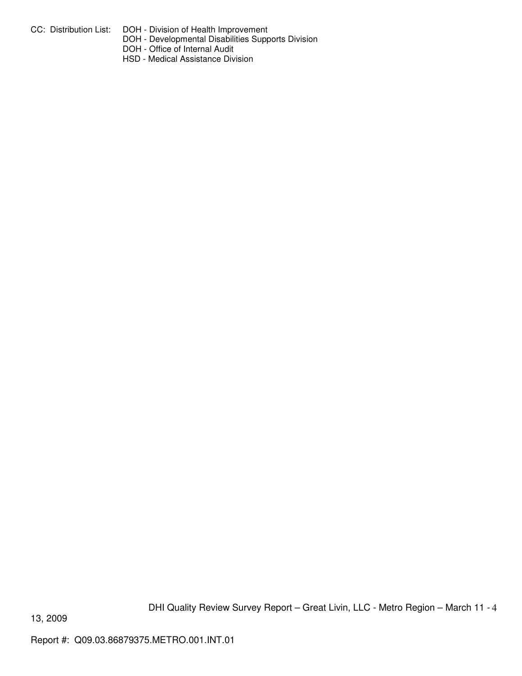- CC: Distribution List: DOH Division of Health Improvement
	- DOH Developmental Disabilities Supports Division
	- DOH Office of Internal Audit
	- HSD Medical Assistance Division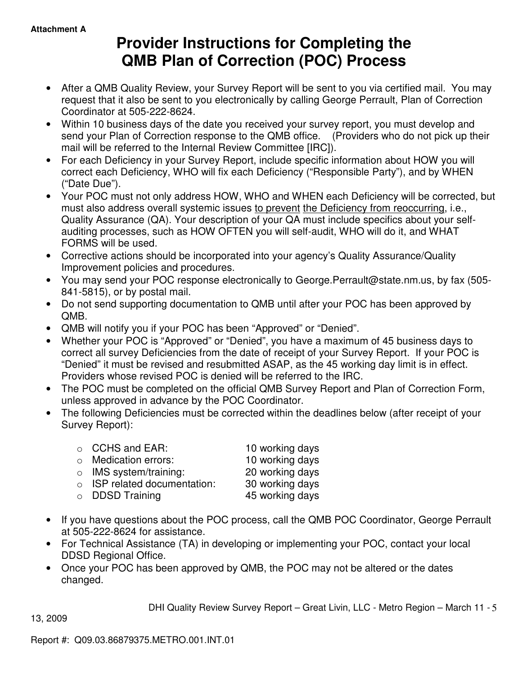# **Provider Instructions for Completing the QMB Plan of Correction (POC) Process**

- After a QMB Quality Review, your Survey Report will be sent to you via certified mail. You may request that it also be sent to you electronically by calling George Perrault, Plan of Correction Coordinator at 505-222-8624.
- Within 10 business days of the date you received your survey report, you must develop and send your Plan of Correction response to the QMB office. (Providers who do not pick up their mail will be referred to the Internal Review Committee [IRC]).
- For each Deficiency in your Survey Report, include specific information about HOW you will correct each Deficiency, WHO will fix each Deficiency ("Responsible Party"), and by WHEN ("Date Due").
- Your POC must not only address HOW, WHO and WHEN each Deficiency will be corrected, but must also address overall systemic issues to prevent the Deficiency from reoccurring, i.e., Quality Assurance (QA). Your description of your QA must include specifics about your selfauditing processes, such as HOW OFTEN you will self-audit, WHO will do it, and WHAT FORMS will be used.
- Corrective actions should be incorporated into your agency's Quality Assurance/Quality Improvement policies and procedures.
- You may send your POC response electronically to George.Perrault@state.nm.us, by fax (505- 841-5815), or by postal mail.
- Do not send supporting documentation to QMB until after your POC has been approved by QMB.
- QMB will notify you if your POC has been "Approved" or "Denied".
- Whether your POC is "Approved" or "Denied", you have a maximum of 45 business days to correct all survey Deficiencies from the date of receipt of your Survey Report. If your POC is "Denied" it must be revised and resubmitted ASAP, as the 45 working day limit is in effect. Providers whose revised POC is denied will be referred to the IRC.
- The POC must be completed on the official QMB Survey Report and Plan of Correction Form, unless approved in advance by the POC Coordinator.
- The following Deficiencies must be corrected within the deadlines below (after receipt of your Survey Report):

| $\circ$ CCHS and EAR:              | 10 working days |
|------------------------------------|-----------------|
| $\circ$ Medication errors:         | 10 working days |
| $\circ$ IMS system/training:       | 20 working days |
| $\circ$ ISP related documentation: | 30 working days |
| $\circ$ DDSD Training              | 45 working days |
|                                    |                 |

- If you have questions about the POC process, call the QMB POC Coordinator, George Perrault at 505-222-8624 for assistance.
- For Technical Assistance (TA) in developing or implementing your POC, contact your local DDSD Regional Office.
- Once your POC has been approved by QMB, the POC may not be altered or the dates changed.

DHI Quality Review Survey Report – Great Livin, LLC - Metro Region – March 11 - 5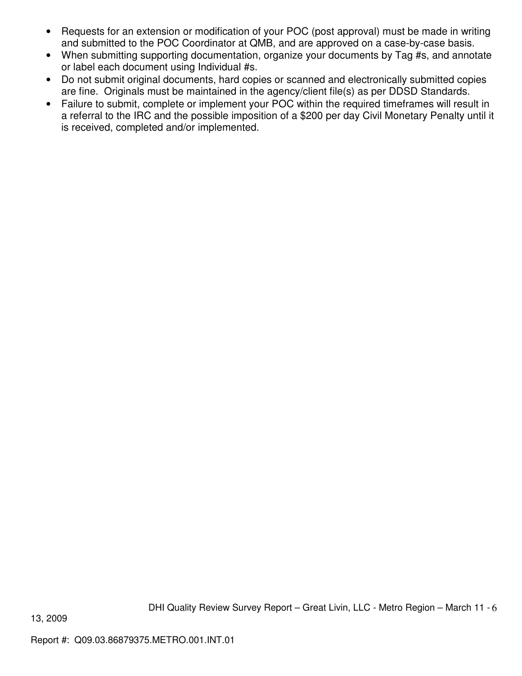- Requests for an extension or modification of your POC (post approval) must be made in writing and submitted to the POC Coordinator at QMB, and are approved on a case-by-case basis.
- When submitting supporting documentation, organize your documents by Tag #s, and annotate or label each document using Individual #s.
- Do not submit original documents, hard copies or scanned and electronically submitted copies are fine. Originals must be maintained in the agency/client file(s) as per DDSD Standards.
- Failure to submit, complete or implement your POC within the required timeframes will result in a referral to the IRC and the possible imposition of a \$200 per day Civil Monetary Penalty until it is received, completed and/or implemented.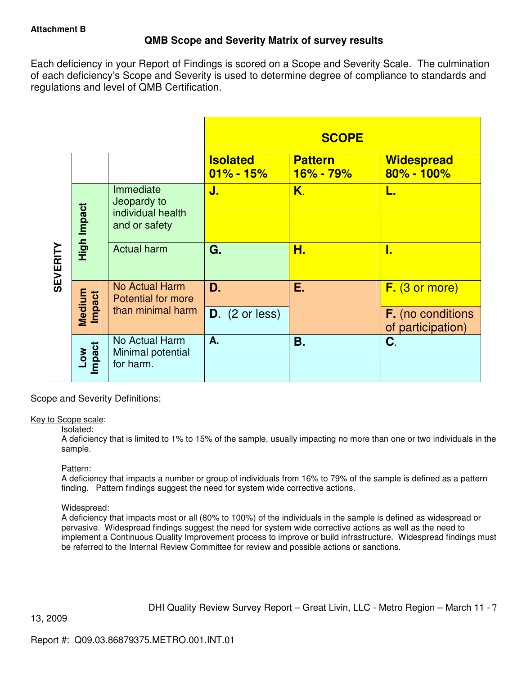# **QMB Scope and Severity Matrix of survey results**

Each deficiency in your Report of Findings is scored on a Scope and Severity Scale. The culmination of each deficiency's Scope and Severity is used to determine degree of compliance to standards and regulations and level of QMB Certification.

|                 |                  |                                                                |                                  | <b>SCOPE</b>                    |                                               |
|-----------------|------------------|----------------------------------------------------------------|----------------------------------|---------------------------------|-----------------------------------------------|
|                 |                  |                                                                | <b>Isolated</b><br>$01\% - 15\%$ | <b>Pattern</b><br>$16\% - 79\%$ | <b>Widespread</b><br>$80\% - 100\%$           |
|                 | High Impact      | Immediate<br>Jeopardy to<br>individual health<br>and or safety | J.                               | Κ.                              | L.                                            |
| <b>SEVERITY</b> |                  | <b>Actual harm</b>                                             | G.                               | Н.                              | I.                                            |
|                 |                  | No Actual Harm<br><b>Potential for more</b>                    | D.                               | Е.                              | $F.$ (3 or more)                              |
|                 | Medium<br>Impact | than minimal harm                                              | $D.$ (2 or less)                 |                                 | <b>F.</b> (no conditions<br>of participation) |
|                 | Low<br>Impact    | No Actual Harm<br>Minimal potential<br>for harm.               | А.                               | Β.                              | C.                                            |

Scope and Severity Definitions:

# Key to Scope scale:

# Isolated:

A deficiency that is limited to 1% to 15% of the sample, usually impacting no more than one or two individuals in the sample.

# Pattern:

A deficiency that impacts a number or group of individuals from 16% to 79% of the sample is defined as a pattern finding. Pattern findings suggest the need for system wide corrective actions.

# Widespread:

A deficiency that impacts most or all (80% to 100%) of the individuals in the sample is defined as widespread or pervasive. Widespread findings suggest the need for system wide corrective actions as well as the need to implement a Continuous Quality Improvement process to improve or build infrastructure. Widespread findings must be referred to the Internal Review Committee for review and possible actions or sanctions.

DHI Quality Review Survey Report – Great Livin, LLC - Metro Region – March 11 - 7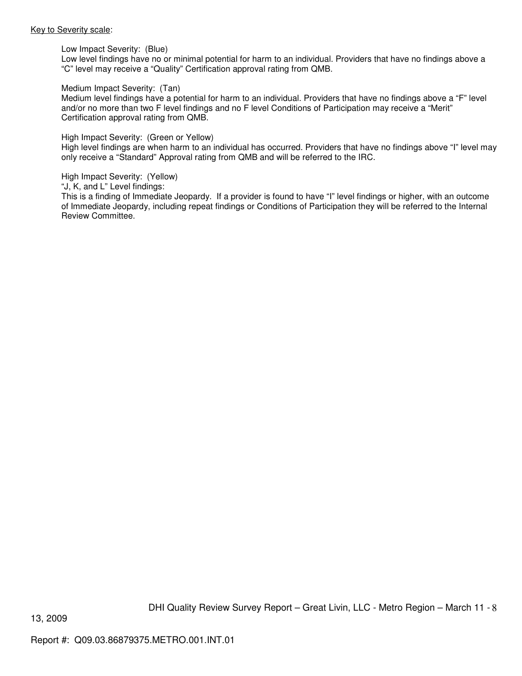#### Key to Severity scale:

Low Impact Severity: (Blue)

Low level findings have no or minimal potential for harm to an individual. Providers that have no findings above a "C" level may receive a "Quality" Certification approval rating from QMB.

#### Medium Impact Severity: (Tan)

Medium level findings have a potential for harm to an individual. Providers that have no findings above a "F" level and/or no more than two F level findings and no F level Conditions of Participation may receive a "Merit" Certification approval rating from QMB.

#### High Impact Severity: (Green or Yellow)

High level findings are when harm to an individual has occurred. Providers that have no findings above "I" level may only receive a "Standard" Approval rating from QMB and will be referred to the IRC.

High Impact Severity: (Yellow)

"J, K, and L" Level findings:

This is a finding of Immediate Jeopardy. If a provider is found to have "I" level findings or higher, with an outcome of Immediate Jeopardy, including repeat findings or Conditions of Participation they will be referred to the Internal Review Committee.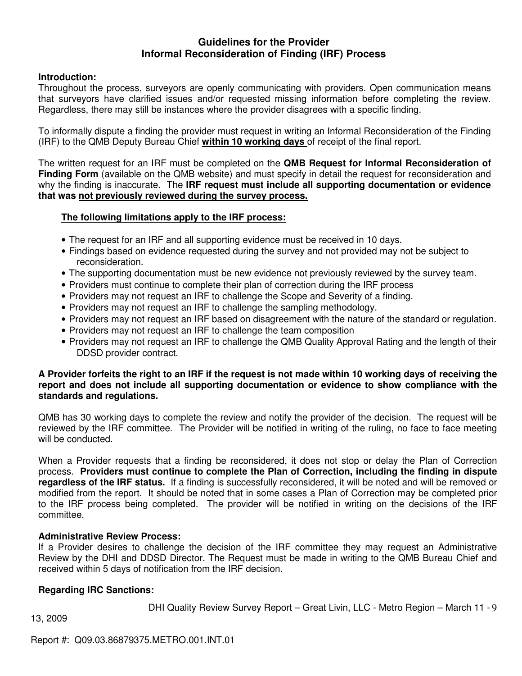# **Guidelines for the Provider Informal Reconsideration of Finding (IRF) Process**

# **Introduction:**

Throughout the process, surveyors are openly communicating with providers. Open communication means that surveyors have clarified issues and/or requested missing information before completing the review. Regardless, there may still be instances where the provider disagrees with a specific finding.

To informally dispute a finding the provider must request in writing an Informal Reconsideration of the Finding (IRF) to the QMB Deputy Bureau Chief **within 10 working days** of receipt of the final report.

The written request for an IRF must be completed on the **QMB Request for Informal Reconsideration of Finding Form** (available on the QMB website) and must specify in detail the request for reconsideration and why the finding is inaccurate. The **IRF request must include all supporting documentation or evidence that was not previously reviewed during the survey process.** 

# **The following limitations apply to the IRF process:**

- The request for an IRF and all supporting evidence must be received in 10 days.
- Findings based on evidence requested during the survey and not provided may not be subject to reconsideration.
- The supporting documentation must be new evidence not previously reviewed by the survey team.
- Providers must continue to complete their plan of correction during the IRF process
- Providers may not request an IRF to challenge the Scope and Severity of a finding.
- Providers may not request an IRF to challenge the sampling methodology.
- Providers may not request an IRF based on disagreement with the nature of the standard or regulation.
- Providers may not request an IRF to challenge the team composition
- Providers may not request an IRF to challenge the QMB Quality Approval Rating and the length of their DDSD provider contract.

# **A Provider forfeits the right to an IRF if the request is not made within 10 working days of receiving the report and does not include all supporting documentation or evidence to show compliance with the standards and regulations.**

QMB has 30 working days to complete the review and notify the provider of the decision. The request will be reviewed by the IRF committee. The Provider will be notified in writing of the ruling, no face to face meeting will be conducted.

When a Provider requests that a finding be reconsidered, it does not stop or delay the Plan of Correction process. **Providers must continue to complete the Plan of Correction, including the finding in dispute regardless of the IRF status.** If a finding is successfully reconsidered, it will be noted and will be removed or modified from the report. It should be noted that in some cases a Plan of Correction may be completed prior to the IRF process being completed. The provider will be notified in writing on the decisions of the IRF committee.

# **Administrative Review Process:**

If a Provider desires to challenge the decision of the IRF committee they may request an Administrative Review by the DHI and DDSD Director. The Request must be made in writing to the QMB Bureau Chief and received within 5 days of notification from the IRF decision.

# **Regarding IRC Sanctions:**

DHI Quality Review Survey Report – Great Livin, LLC - Metro Region – March 11 - 9

13, 2009

Report #: Q09.03.86879375.METRO.001.INT.01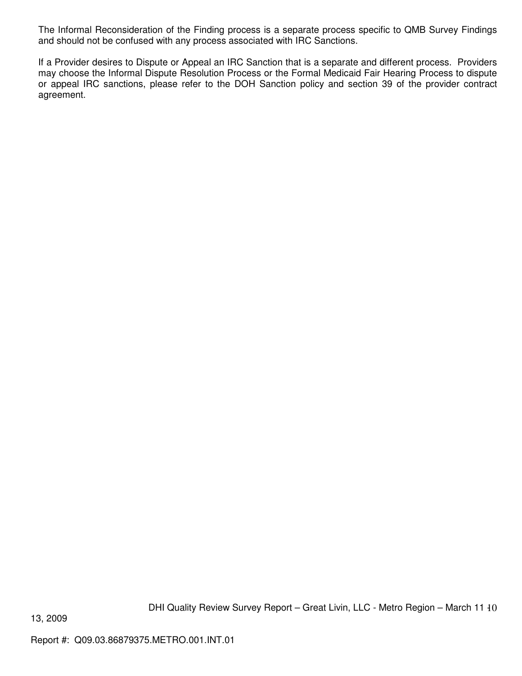The Informal Reconsideration of the Finding process is a separate process specific to QMB Survey Findings and should not be confused with any process associated with IRC Sanctions.

If a Provider desires to Dispute or Appeal an IRC Sanction that is a separate and different process. Providers may choose the Informal Dispute Resolution Process or the Formal Medicaid Fair Hearing Process to dispute or appeal IRC sanctions, please refer to the DOH Sanction policy and section 39 of the provider contract agreement.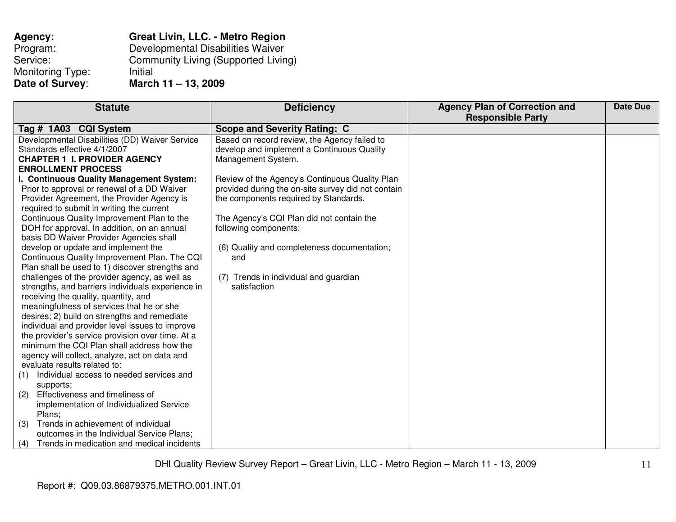| Agency:          | <b>Great Livin, LLC. - Metro Region</b> |
|------------------|-----------------------------------------|
| Program:         | Developmental Disabilities Waiver       |
| Service:         | Community Living (Supported Living)     |
| Monitoring Type: | Initial                                 |
| Date of Survey:  | March 11 - 13, 2009                     |

| <b>Statute</b>                                    | <b>Deficiency</b>                                  | <b>Agency Plan of Correction and</b> | Date Due |
|---------------------------------------------------|----------------------------------------------------|--------------------------------------|----------|
|                                                   |                                                    | <b>Responsible Party</b>             |          |
| Tag # 1A03 CQI System                             | <b>Scope and Severity Rating: C</b>                |                                      |          |
| Developmental Disabilities (DD) Waiver Service    | Based on record review, the Agency failed to       |                                      |          |
| Standards effective 4/1/2007                      | develop and implement a Continuous Quality         |                                      |          |
| <b>CHAPTER 1 I. PROVIDER AGENCY</b>               | Management System.                                 |                                      |          |
| <b>ENROLLMENT PROCESS</b>                         |                                                    |                                      |          |
| I. Continuous Quality Management System:          | Review of the Agency's Continuous Quality Plan     |                                      |          |
| Prior to approval or renewal of a DD Waiver       | provided during the on-site survey did not contain |                                      |          |
| Provider Agreement, the Provider Agency is        | the components required by Standards.              |                                      |          |
| required to submit in writing the current         |                                                    |                                      |          |
| Continuous Quality Improvement Plan to the        | The Agency's CQI Plan did not contain the          |                                      |          |
| DOH for approval. In addition, on an annual       | following components:                              |                                      |          |
| basis DD Waiver Provider Agencies shall           |                                                    |                                      |          |
| develop or update and implement the               | (6) Quality and completeness documentation;        |                                      |          |
| Continuous Quality Improvement Plan. The CQI      | and                                                |                                      |          |
| Plan shall be used to 1) discover strengths and   |                                                    |                                      |          |
| challenges of the provider agency, as well as     | (7) Trends in individual and guardian              |                                      |          |
| strengths, and barriers individuals experience in | satisfaction                                       |                                      |          |
| receiving the quality, quantity, and              |                                                    |                                      |          |
| meaningfulness of services that he or she         |                                                    |                                      |          |
| desires; 2) build on strengths and remediate      |                                                    |                                      |          |
| individual and provider level issues to improve   |                                                    |                                      |          |
| the provider's service provision over time. At a  |                                                    |                                      |          |
| minimum the CQI Plan shall address how the        |                                                    |                                      |          |
| agency will collect, analyze, act on data and     |                                                    |                                      |          |
| evaluate results related to:                      |                                                    |                                      |          |
| Individual access to needed services and<br>(1)   |                                                    |                                      |          |
| supports;                                         |                                                    |                                      |          |
| Effectiveness and timeliness of<br>(2)            |                                                    |                                      |          |
| implementation of Individualized Service          |                                                    |                                      |          |
| Plans;                                            |                                                    |                                      |          |
| Trends in achievement of individual<br>(3)        |                                                    |                                      |          |
| outcomes in the Individual Service Plans;         |                                                    |                                      |          |
| Trends in medication and medical incidents<br>(4) |                                                    |                                      |          |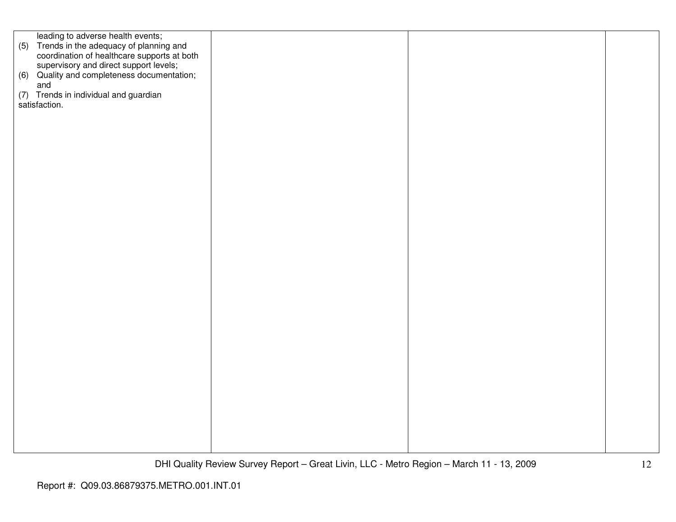leading to adverse health events; (5) Trends in the adequacy of planning and coordination of healthcare supports at both supervisory and direct support levels; (6) Quality and completeness documentation; and (7) Trends in individual and guardian satisfaction.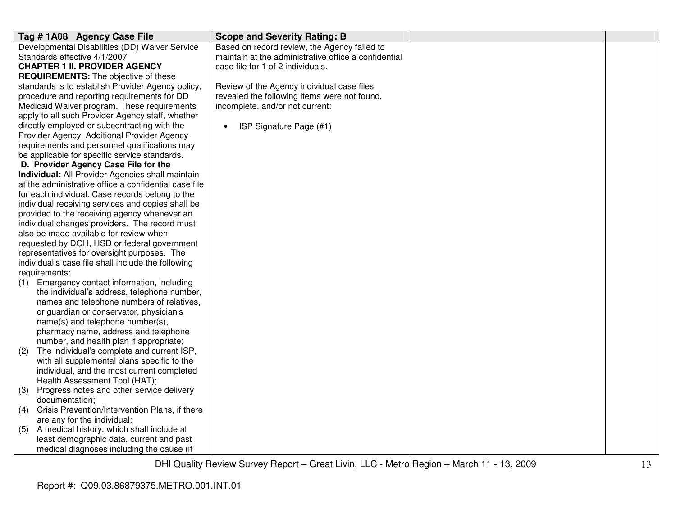| Tag #1A08 Agency Case File                                          | <b>Scope and Severity Rating: B</b>                  |  |
|---------------------------------------------------------------------|------------------------------------------------------|--|
| Developmental Disabilities (DD) Waiver Service                      | Based on record review, the Agency failed to         |  |
| Standards effective 4/1/2007                                        | maintain at the administrative office a confidential |  |
| <b>CHAPTER 1 II. PROVIDER AGENCY</b>                                | case file for 1 of 2 individuals.                    |  |
| <b>REQUIREMENTS:</b> The objective of these                         |                                                      |  |
| standards is to establish Provider Agency policy,                   | Review of the Agency individual case files           |  |
| procedure and reporting requirements for DD                         | revealed the following items were not found,         |  |
| Medicaid Waiver program. These requirements                         | incomplete, and/or not current:                      |  |
| apply to all such Provider Agency staff, whether                    |                                                      |  |
| directly employed or subcontracting with the                        | ISP Signature Page (#1)<br>$\bullet$                 |  |
| Provider Agency. Additional Provider Agency                         |                                                      |  |
| requirements and personnel qualifications may                       |                                                      |  |
| be applicable for specific service standards.                       |                                                      |  |
| D. Provider Agency Case File for the                                |                                                      |  |
| Individual: All Provider Agencies shall maintain                    |                                                      |  |
| at the administrative office a confidential case file               |                                                      |  |
| for each individual. Case records belong to the                     |                                                      |  |
| individual receiving services and copies shall be                   |                                                      |  |
| provided to the receiving agency whenever an                        |                                                      |  |
| individual changes providers. The record must                       |                                                      |  |
| also be made available for review when                              |                                                      |  |
| requested by DOH, HSD or federal government                         |                                                      |  |
| representatives for oversight purposes. The                         |                                                      |  |
| individual's case file shall include the following<br>requirements: |                                                      |  |
| Emergency contact information, including                            |                                                      |  |
| (1)<br>the individual's address, telephone number,                  |                                                      |  |
| names and telephone numbers of relatives,                           |                                                      |  |
| or guardian or conservator, physician's                             |                                                      |  |
| name(s) and telephone number(s),                                    |                                                      |  |
| pharmacy name, address and telephone                                |                                                      |  |
| number, and health plan if appropriate;                             |                                                      |  |
| The individual's complete and current ISP,<br>(2)                   |                                                      |  |
| with all supplemental plans specific to the                         |                                                      |  |
| individual, and the most current completed                          |                                                      |  |
| Health Assessment Tool (HAT);                                       |                                                      |  |
| Progress notes and other service delivery<br>(3)                    |                                                      |  |
| documentation;                                                      |                                                      |  |
| Crisis Prevention/Intervention Plans, if there<br>(4)               |                                                      |  |
| are any for the individual;                                         |                                                      |  |
| A medical history, which shall include at<br>(5)                    |                                                      |  |
| least demographic data, current and past                            |                                                      |  |
| medical diagnoses including the cause (if                           |                                                      |  |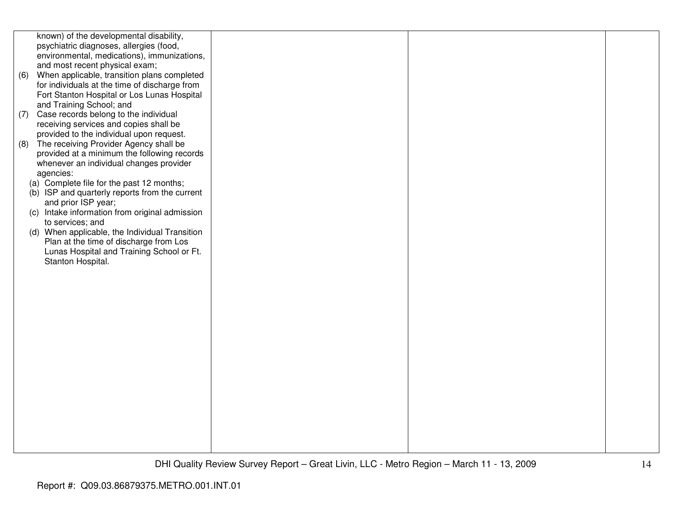known) of the developmental disability, psychiatric diagnoses, allergies (food, environmental, medications), immunizations, and most recent physical exam;

- (6) When applicable, transition plans completed for individuals at the time of discharge from Fort Stanton Hospital or Los Lunas Hospital and Training School; and
- (7) Case records belong to the individual receiving services and copies shall be provided to the individual upon request.
- (8) The receiving Provider Agency shall be provided at a minimum the following records whenever an individual changes provider agencies:
	- (a) Complete file for the past 12 months;
	- (b) ISP and quarterly reports from the current and prior ISP year;
	- (c) Intake information from original admission to services; and
	- (d) When applicable, the Individual Transition Plan at the time of discharge from Los Lunas Hospital and Training School or Ft. Stanton Hospital.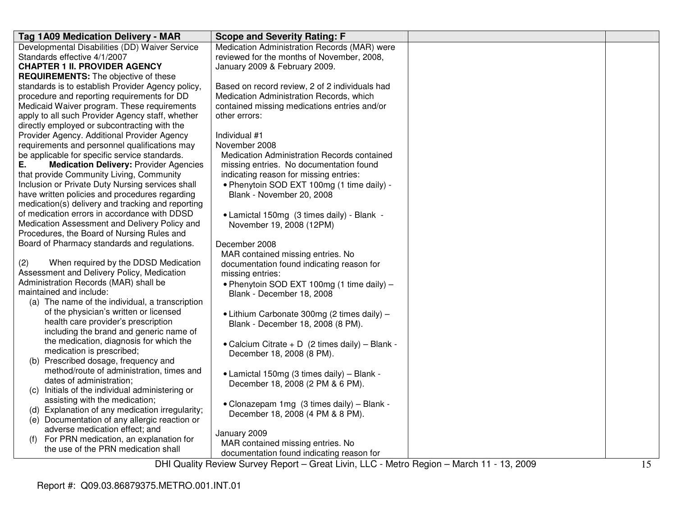| Tag 1A09 Medication Delivery - MAR                                | <b>Scope and Severity Rating: F</b>                     |                                                                                        |  |
|-------------------------------------------------------------------|---------------------------------------------------------|----------------------------------------------------------------------------------------|--|
| Developmental Disabilities (DD) Waiver Service                    | Medication Administration Records (MAR) were            |                                                                                        |  |
| Standards effective 4/1/2007                                      | reviewed for the months of November, 2008,              |                                                                                        |  |
| <b>CHAPTER 1 II. PROVIDER AGENCY</b>                              | January 2009 & February 2009.                           |                                                                                        |  |
| <b>REQUIREMENTS:</b> The objective of these                       |                                                         |                                                                                        |  |
| standards is to establish Provider Agency policy,                 | Based on record review, 2 of 2 individuals had          |                                                                                        |  |
| procedure and reporting requirements for DD                       | Medication Administration Records, which                |                                                                                        |  |
| Medicaid Waiver program. These requirements                       | contained missing medications entries and/or            |                                                                                        |  |
| apply to all such Provider Agency staff, whether                  | other errors:                                           |                                                                                        |  |
| directly employed or subcontracting with the                      |                                                         |                                                                                        |  |
| Provider Agency. Additional Provider Agency                       | Individual #1                                           |                                                                                        |  |
| requirements and personnel qualifications may                     | November 2008                                           |                                                                                        |  |
| be applicable for specific service standards.                     | Medication Administration Records contained             |                                                                                        |  |
| <b>Medication Delivery: Provider Agencies</b><br>Е.               | missing entries. No documentation found                 |                                                                                        |  |
| that provide Community Living, Community                          | indicating reason for missing entries:                  |                                                                                        |  |
| Inclusion or Private Duty Nursing services shall                  | . Phenytoin SOD EXT 100mg (1 time daily) -              |                                                                                        |  |
| have written policies and procedures regarding                    | Blank - November 20, 2008                               |                                                                                        |  |
| medication(s) delivery and tracking and reporting                 |                                                         |                                                                                        |  |
| of medication errors in accordance with DDSD                      | • Lamictal 150mg (3 times daily) - Blank -              |                                                                                        |  |
| Medication Assessment and Delivery Policy and                     | November 19, 2008 (12PM)                                |                                                                                        |  |
| Procedures, the Board of Nursing Rules and                        |                                                         |                                                                                        |  |
| Board of Pharmacy standards and regulations.                      | December 2008                                           |                                                                                        |  |
|                                                                   | MAR contained missing entries. No                       |                                                                                        |  |
| When required by the DDSD Medication<br>(2)                       | documentation found indicating reason for               |                                                                                        |  |
| Assessment and Delivery Policy, Medication                        | missing entries:                                        |                                                                                        |  |
| Administration Records (MAR) shall be                             | • Phenytoin SOD EXT 100mg (1 time daily) $-$            |                                                                                        |  |
| maintained and include:                                           | Blank - December 18, 2008                               |                                                                                        |  |
| (a) The name of the individual, a transcription                   |                                                         |                                                                                        |  |
| of the physician's written or licensed                            | • Lithium Carbonate 300mg (2 times daily) -             |                                                                                        |  |
| health care provider's prescription                               | Blank - December 18, 2008 (8 PM).                       |                                                                                        |  |
| including the brand and generic name of                           |                                                         |                                                                                        |  |
| the medication, diagnosis for which the                           | • Calcium Citrate + D (2 times daily) - Blank -         |                                                                                        |  |
| medication is prescribed;<br>(b) Prescribed dosage, frequency and | December 18, 2008 (8 PM).                               |                                                                                        |  |
| method/route of administration, times and                         |                                                         |                                                                                        |  |
| dates of administration;                                          | • Lamictal 150mg (3 times daily) - Blank -              |                                                                                        |  |
| Initials of the individual administering or                       | December 18, 2008 (2 PM & 6 PM).                        |                                                                                        |  |
| (C)<br>assisting with the medication;                             |                                                         |                                                                                        |  |
| (d) Explanation of any medication irregularity;                   | • Clonazepam 1mg (3 times daily) - Blank -              |                                                                                        |  |
| (e) Documentation of any allergic reaction or                     | December 18, 2008 (4 PM & 8 PM).                        |                                                                                        |  |
| adverse medication effect; and                                    |                                                         |                                                                                        |  |
| For PRN medication, an explanation for<br>(f)                     | January 2009                                            |                                                                                        |  |
| the use of the PRN medication shall                               | MAR contained missing entries. No                       |                                                                                        |  |
|                                                                   | documentation found indicating reason for<br>$D \cup D$ | $M + L = \sum_{n=1}^{L}$<br><b>NA</b> and a state<br>$\overline{10}$ $\overline{0000}$ |  |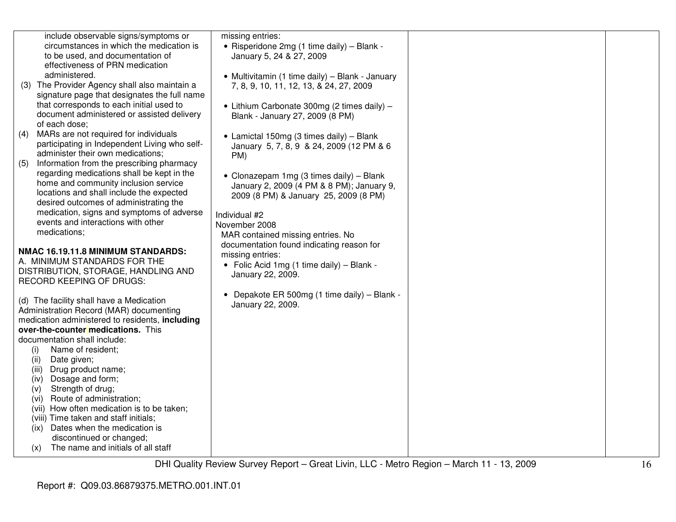| include observable signs/symptoms or     |
|------------------------------------------|
| circumstances in which the medication is |
| to be used, and documentation of         |
| effectiveness of PRN medication          |
| administered.                            |

missing entries:

- (3) The Provider Agency shall also maintain a signature page that designates the full name that corresponds to each initial used to document administered or assisted delivery of each dose;
- (4) MARs are not required for individuals participating in Independent Living who selfadminister their own medications;
- (5) Information from the prescribing pharmacy regarding medications shall be kept in the home and community inclusion service locations and shall include the expected desired outcomes of administrating the medication, signs and symptoms of adverse events and interactions with other medications;

# **NMAC 16.19.11.8 MINIMUM STANDARDS:**

A. MINIMUM STANDARDS FOR THE DISTRIBUTION, STORAGE, HANDLING AND RECORD KEEPING OF DRUGS:

(d) The facility shall have a Medication Administration Record (MAR) documenting medication administered to residents, **including over-the-counter medications.** This documentation shall include:

- (i) Name of resident;
- (ii) Date given;
- (iii) Drug product name;
- (iv) Dosage and form;
- (v) Strength of drug;
- (vi) Route of administration;
- (vii) How often medication is to be taken;
- (viii) Time taken and staff initials;
- (ix) Dates when the medication is discontinued or changed;
- (x) The name and initials of all staff

 • Risperidone 2mg (1 time daily) – Blank -January 5, 24 & 27, 2009 • Multivitamin (1 time daily) – Blank - January 7, 8, 9, 10, 11, 12, 13, & 24, 27, 2009 • Lithium Carbonate 300mg (2 times daily) – Blank - January 27, 2009 (8 PM) • Lamictal 150mg (3 times daily) – Blank January 5, 7, 8, 9 & 24, 2009 (12 PM & 6 PM) • Clonazepam 1mg (3 times daily) – Blank January 2, 2009 (4 PM & 8 PM); January 9, 2009 (8 PM) & January 25, 2009 (8 PM) Individual #2 November 2008 MAR contained missing entries. No documentation found indicating reason for missing entries: • Folic Acid 1mg (1 time daily) – Blank - January 22, 2009. • Depakote ER 500mg (1 time daily) – Blank - January 22, 2009.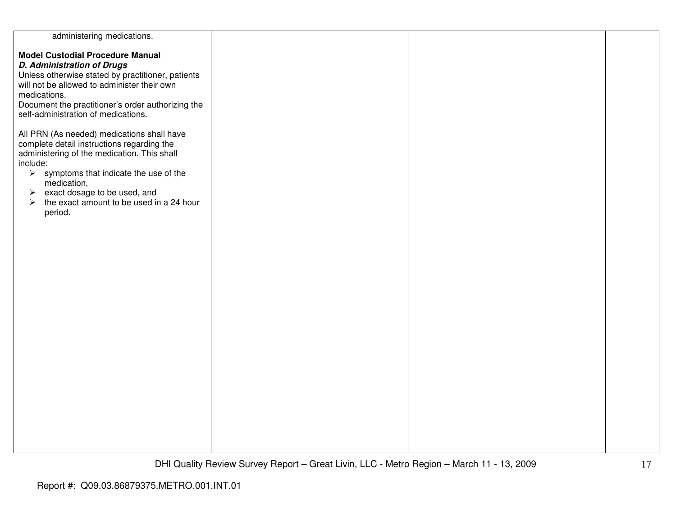| administering medications.                                                                                                                                                                                                                                                                                                                                            |  |  |
|-----------------------------------------------------------------------------------------------------------------------------------------------------------------------------------------------------------------------------------------------------------------------------------------------------------------------------------------------------------------------|--|--|
| <b>Model Custodial Procedure Manual</b><br><b>D. Administration of Drugs</b><br>Unless otherwise stated by practitioner, patients<br>will not be allowed to administer their own<br>medications.<br>Document the practitioner's order authorizing the<br>self-administration of medications.                                                                          |  |  |
| All PRN (As needed) medications shall have<br>complete detail instructions regarding the<br>administering of the medication. This shall<br>include:<br>$\triangleright$ symptoms that indicate the use of the<br>medication,<br>exact dosage to be used, and<br>$\blacktriangleright$<br>the exact amount to be used in a 24 hour<br>$\blacktriangleright$<br>period. |  |  |
|                                                                                                                                                                                                                                                                                                                                                                       |  |  |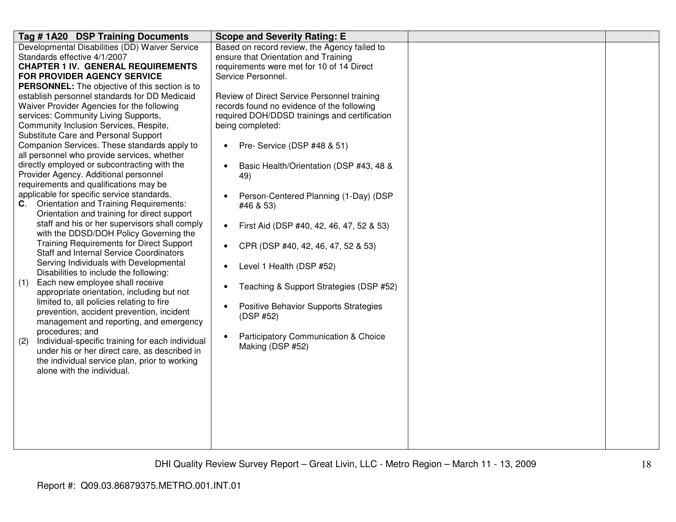| Tag #1A20 DSP Training Documents                                                            | <b>Scope and Severity Rating: E</b>                   |  |
|---------------------------------------------------------------------------------------------|-------------------------------------------------------|--|
| Developmental Disabilities (DD) Waiver Service                                              | Based on record review, the Agency failed to          |  |
| Standards effective 4/1/2007                                                                | ensure that Orientation and Training                  |  |
| <b>CHAPTER 1 IV. GENERAL REQUIREMENTS</b>                                                   | requirements were met for 10 of 14 Direct             |  |
| <b>FOR PROVIDER AGENCY SERVICE</b>                                                          | Service Personnel.                                    |  |
| PERSONNEL: The objective of this section is to                                              |                                                       |  |
| establish personnel standards for DD Medicaid                                               | Review of Direct Service Personnel training           |  |
| Waiver Provider Agencies for the following                                                  | records found no evidence of the following            |  |
| services: Community Living Supports,                                                        | required DOH/DDSD trainings and certification         |  |
| Community Inclusion Services, Respite,                                                      | being completed:                                      |  |
| Substitute Care and Personal Support                                                        |                                                       |  |
| Companion Services. These standards apply to<br>all personnel who provide services, whether | Pre- Service (DSP #48 & 51)                           |  |
| directly employed or subcontracting with the                                                |                                                       |  |
| Provider Agency. Additional personnel                                                       | Basic Health/Orientation (DSP #43, 48 &               |  |
| requirements and qualifications may be                                                      | 49)                                                   |  |
| applicable for specific service standards.                                                  | Person-Centered Planning (1-Day) (DSP                 |  |
| C. Orientation and Training Requirements:                                                   | #46 & 53)                                             |  |
| Orientation and training for direct support                                                 |                                                       |  |
| staff and his or her supervisors shall comply                                               | First Aid (DSP #40, 42, 46, 47, 52 & 53)<br>$\bullet$ |  |
| with the DDSD/DOH Policy Governing the                                                      |                                                       |  |
| <b>Training Requirements for Direct Support</b>                                             | CPR (DSP #40, 42, 46, 47, 52 & 53)                    |  |
| <b>Staff and Internal Service Coordinators</b>                                              |                                                       |  |
| Serving Individuals with Developmental                                                      | Level 1 Health (DSP #52)                              |  |
| Disabilities to include the following:                                                      |                                                       |  |
| Each new employee shall receive<br>(1)                                                      | Teaching & Support Strategies (DSP #52)               |  |
| appropriate orientation, including but not                                                  |                                                       |  |
| limited to, all policies relating to fire                                                   | Positive Behavior Supports Strategies                 |  |
| prevention, accident prevention, incident                                                   | (DSP #52)                                             |  |
| management and reporting, and emergency                                                     |                                                       |  |
| procedures; and                                                                             | Participatory Communication & Choice                  |  |
| Individual-specific training for each individual<br>(2)                                     | Making (DSP #52)                                      |  |
| under his or her direct care, as described in                                               |                                                       |  |
| the individual service plan, prior to working                                               |                                                       |  |
| alone with the individual.                                                                  |                                                       |  |
|                                                                                             |                                                       |  |
|                                                                                             |                                                       |  |
|                                                                                             |                                                       |  |
|                                                                                             |                                                       |  |
|                                                                                             |                                                       |  |
|                                                                                             |                                                       |  |
|                                                                                             |                                                       |  |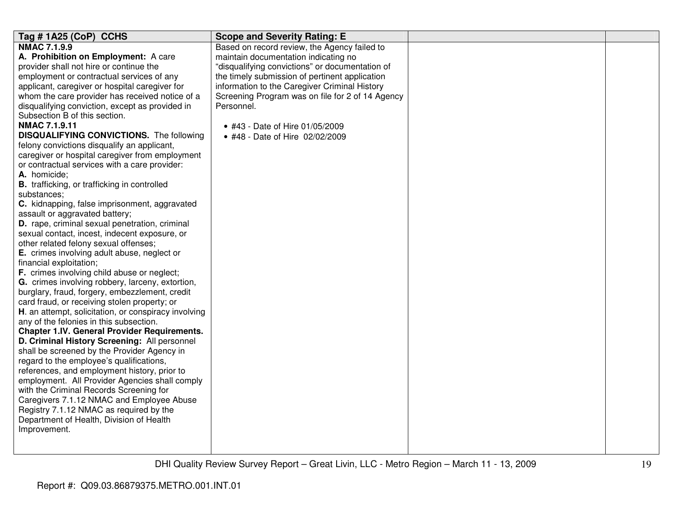| Tag # 1A25 (CoP) CCHS                                                                | <b>Scope and Severity Rating: E</b>              |  |
|--------------------------------------------------------------------------------------|--------------------------------------------------|--|
| <b>NMAC 7.1.9.9</b>                                                                  | Based on record review, the Agency failed to     |  |
| A. Prohibition on Employment: A care                                                 | maintain documentation indicating no             |  |
| provider shall not hire or continue the                                              | "disqualifying convictions" or documentation of  |  |
| employment or contractual services of any                                            | the timely submission of pertinent application   |  |
| applicant, caregiver or hospital caregiver for                                       | information to the Caregiver Criminal History    |  |
| whom the care provider has received notice of a                                      | Screening Program was on file for 2 of 14 Agency |  |
| disqualifying conviction, except as provided in                                      | Personnel.                                       |  |
| Subsection B of this section.                                                        |                                                  |  |
| <b>NMAC 7.1.9.11</b>                                                                 | • #43 - Date of Hire 01/05/2009                  |  |
| <b>DISQUALIFYING CONVICTIONS.</b> The following                                      | • #48 - Date of Hire 02/02/2009                  |  |
| felony convictions disqualify an applicant,                                          |                                                  |  |
| caregiver or hospital caregiver from employment                                      |                                                  |  |
| or contractual services with a care provider:                                        |                                                  |  |
| A. homicide;                                                                         |                                                  |  |
| <b>B.</b> trafficking, or trafficking in controlled                                  |                                                  |  |
| substances;                                                                          |                                                  |  |
| C. kidnapping, false imprisonment, aggravated                                        |                                                  |  |
| assault or aggravated battery;                                                       |                                                  |  |
| D. rape, criminal sexual penetration, criminal                                       |                                                  |  |
| sexual contact, incest, indecent exposure, or                                        |                                                  |  |
| other related felony sexual offenses;                                                |                                                  |  |
| E. crimes involving adult abuse, neglect or                                          |                                                  |  |
| financial exploitation;                                                              |                                                  |  |
| F. crimes involving child abuse or neglect;                                          |                                                  |  |
| G. crimes involving robbery, larceny, extortion,                                     |                                                  |  |
| burglary, fraud, forgery, embezzlement, credit                                       |                                                  |  |
| card fraud, or receiving stolen property; or                                         |                                                  |  |
| H. an attempt, solicitation, or conspiracy involving                                 |                                                  |  |
| any of the felonies in this subsection.                                              |                                                  |  |
| <b>Chapter 1.IV. General Provider Requirements.</b>                                  |                                                  |  |
| D. Criminal History Screening: All personnel                                         |                                                  |  |
| shall be screened by the Provider Agency in                                          |                                                  |  |
| regard to the employee's qualifications,                                             |                                                  |  |
| references, and employment history, prior to                                         |                                                  |  |
| employment. All Provider Agencies shall comply                                       |                                                  |  |
| with the Criminal Records Screening for<br>Caregivers 7.1.12 NMAC and Employee Abuse |                                                  |  |
| Registry 7.1.12 NMAC as required by the                                              |                                                  |  |
| Department of Health, Division of Health                                             |                                                  |  |
| Improvement.                                                                         |                                                  |  |
|                                                                                      |                                                  |  |
|                                                                                      |                                                  |  |
|                                                                                      |                                                  |  |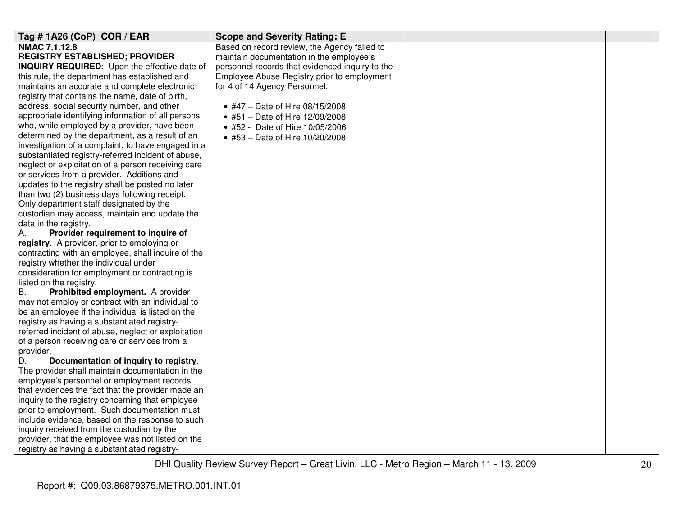| Tag #1A26 (CoP) COR / EAR                                | <b>Scope and Severity Rating: E</b>             |  |
|----------------------------------------------------------|-------------------------------------------------|--|
| <b>NMAC 7.1.12.8</b>                                     | Based on record review, the Agency failed to    |  |
| <b>REGISTRY ESTABLISHED; PROVIDER</b>                    | maintain documentation in the employee's        |  |
| <b>INQUIRY REQUIRED:</b> Upon the effective date of      | personnel records that evidenced inquiry to the |  |
| this rule, the department has established and            | Employee Abuse Registry prior to employment     |  |
| maintains an accurate and complete electronic            | for 4 of 14 Agency Personnel.                   |  |
| registry that contains the name, date of birth,          |                                                 |  |
| address, social security number, and other               | • #47 - Date of Hire 08/15/2008                 |  |
| appropriate identifying information of all persons       | • #51 - Date of Hire 12/09/2008                 |  |
| who, while employed by a provider, have been             | • #52 - Date of Hire 10/05/2006                 |  |
| determined by the department, as a result of an          | • #53 - Date of Hire 10/20/2008                 |  |
| investigation of a complaint, to have engaged in a       |                                                 |  |
| substantiated registry-referred incident of abuse,       |                                                 |  |
| neglect or exploitation of a person receiving care       |                                                 |  |
| or services from a provider. Additions and               |                                                 |  |
| updates to the registry shall be posted no later         |                                                 |  |
| than two (2) business days following receipt.            |                                                 |  |
| Only department staff designated by the                  |                                                 |  |
| custodian may access, maintain and update the            |                                                 |  |
| data in the registry.                                    |                                                 |  |
| Provider requirement to inquire of<br>А.                 |                                                 |  |
| registry. A provider, prior to employing or              |                                                 |  |
| contracting with an employee, shall inquire of the       |                                                 |  |
| registry whether the individual under                    |                                                 |  |
| consideration for employment or contracting is           |                                                 |  |
| listed on the registry.                                  |                                                 |  |
| <b>B.</b><br>Prohibited employment. A provider           |                                                 |  |
| may not employ or contract with an individual to         |                                                 |  |
| be an employee if the individual is listed on the        |                                                 |  |
| registry as having a substantiated registry-             |                                                 |  |
| referred incident of abuse, neglect or exploitation      |                                                 |  |
| of a person receiving care or services from a            |                                                 |  |
| provider.<br>Documentation of inquiry to registry.<br>D. |                                                 |  |
| The provider shall maintain documentation in the         |                                                 |  |
| employee's personnel or employment records               |                                                 |  |
| that evidences the fact that the provider made an        |                                                 |  |
| inquiry to the registry concerning that employee         |                                                 |  |
| prior to employment. Such documentation must             |                                                 |  |
| include evidence, based on the response to such          |                                                 |  |
| inquiry received from the custodian by the               |                                                 |  |
| provider, that the employee was not listed on the        |                                                 |  |
| registry as having a substantiated registry-             |                                                 |  |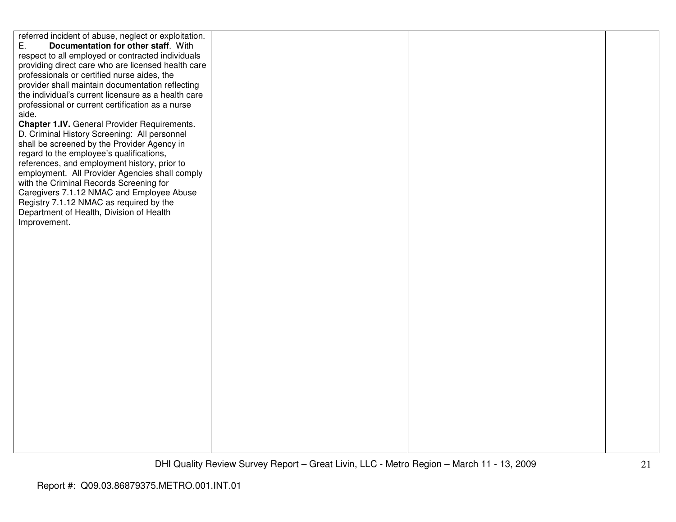referred incident of abuse, neglect or exploitation. E. **Documentation for other staff**. With respect to all employed or contracted individuals providing direct care who are licensed health care professionals or certified nurse aides, the provider shall maintain documentation reflecting the individual's current licensure as a health careprofessional or current certification as a nurse aide.

 **Chapter 1.IV.** General Provider Requirements. D. Criminal History Screening: All personnel shall be screened by the Provider Agency in regard to the employee's qualifications, references, and employment history, prior to employment. All Provider Agencies shall comply with the Criminal Records Screening for Caregivers 7.1.12 NMAC and Employee Abuse Registry 7.1.12 NMAC as required by the Department of Health, Division of Health Improvement.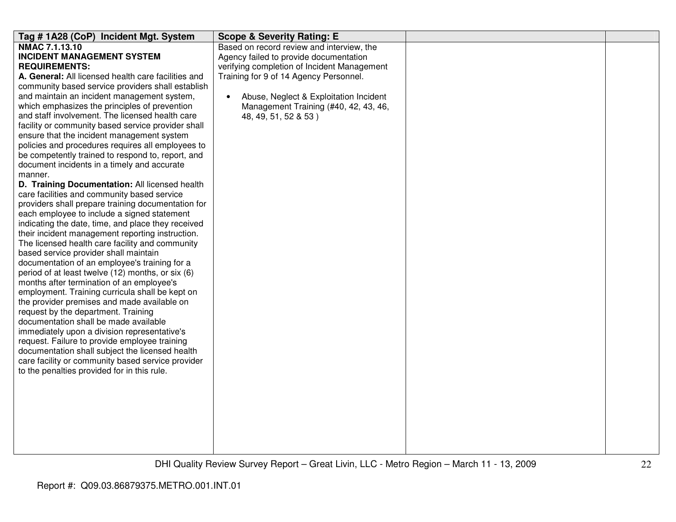| Tag # 1A28 (CoP) Incident Mgt. System                                                         | <b>Scope &amp; Severity Rating: E</b>       |  |
|-----------------------------------------------------------------------------------------------|---------------------------------------------|--|
| NMAC 7.1.13.10                                                                                | Based on record review and interview, the   |  |
| <b>INCIDENT MANAGEMENT SYSTEM</b>                                                             | Agency failed to provide documentation      |  |
| <b>REQUIREMENTS:</b>                                                                          | verifying completion of Incident Management |  |
| A. General: All licensed health care facilities and                                           | Training for 9 of 14 Agency Personnel.      |  |
| community based service providers shall establish                                             |                                             |  |
| and maintain an incident management system,                                                   | Abuse, Neglect & Exploitation Incident      |  |
| which emphasizes the principles of prevention                                                 | Management Training (#40, 42, 43, 46,       |  |
| and staff involvement. The licensed health care                                               | 48, 49, 51, 52 & 53)                        |  |
| facility or community based service provider shall                                            |                                             |  |
| ensure that the incident management system                                                    |                                             |  |
| policies and procedures requires all employees to                                             |                                             |  |
| be competently trained to respond to, report, and                                             |                                             |  |
| document incidents in a timely and accurate                                                   |                                             |  |
| manner.                                                                                       |                                             |  |
| D. Training Documentation: All licensed health<br>care facilities and community based service |                                             |  |
| providers shall prepare training documentation for                                            |                                             |  |
| each employee to include a signed statement                                                   |                                             |  |
| indicating the date, time, and place they received                                            |                                             |  |
| their incident management reporting instruction.                                              |                                             |  |
| The licensed health care facility and community                                               |                                             |  |
| based service provider shall maintain                                                         |                                             |  |
| documentation of an employee's training for a                                                 |                                             |  |
| period of at least twelve (12) months, or six (6)                                             |                                             |  |
| months after termination of an employee's                                                     |                                             |  |
| employment. Training curricula shall be kept on                                               |                                             |  |
| the provider premises and made available on                                                   |                                             |  |
| request by the department. Training                                                           |                                             |  |
| documentation shall be made available                                                         |                                             |  |
| immediately upon a division representative's                                                  |                                             |  |
| request. Failure to provide employee training                                                 |                                             |  |
| documentation shall subject the licensed health                                               |                                             |  |
| care facility or community based service provider                                             |                                             |  |
| to the penalties provided for in this rule.                                                   |                                             |  |
|                                                                                               |                                             |  |
|                                                                                               |                                             |  |
|                                                                                               |                                             |  |
|                                                                                               |                                             |  |
|                                                                                               |                                             |  |
|                                                                                               |                                             |  |
|                                                                                               |                                             |  |
|                                                                                               |                                             |  |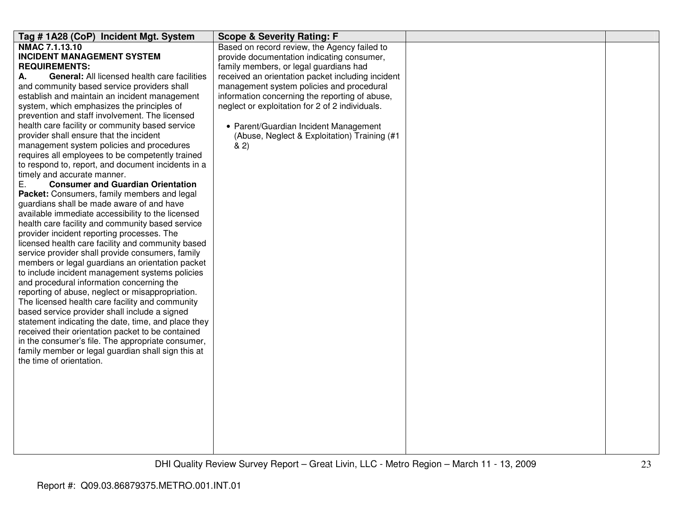| Tag #1A28 (CoP) Incident Mgt. System                | <b>Scope &amp; Severity Rating: F</b>             |  |
|-----------------------------------------------------|---------------------------------------------------|--|
| <b>NMAC 7.1.13.10</b>                               | Based on record review, the Agency failed to      |  |
| <b>INCIDENT MANAGEMENT SYSTEM</b>                   | provide documentation indicating consumer,        |  |
| <b>REQUIREMENTS:</b>                                | family members, or legal guardians had            |  |
| General: All licensed health care facilities<br>А.  | received an orientation packet including incident |  |
| and community based service providers shall         | management system policies and procedural         |  |
| establish and maintain an incident management       | information concerning the reporting of abuse,    |  |
| system, which emphasizes the principles of          | neglect or exploitation for 2 of 2 individuals.   |  |
| prevention and staff involvement. The licensed      |                                                   |  |
| health care facility or community based service     | • Parent/Guardian Incident Management             |  |
| provider shall ensure that the incident             | (Abuse, Neglect & Exploitation) Training (#1      |  |
| management system policies and procedures           | 82)                                               |  |
| requires all employees to be competently trained    |                                                   |  |
| to respond to, report, and document incidents in a  |                                                   |  |
| timely and accurate manner.                         |                                                   |  |
| <b>Consumer and Guardian Orientation</b><br>Е.      |                                                   |  |
| Packet: Consumers, family members and legal         |                                                   |  |
| guardians shall be made aware of and have           |                                                   |  |
| available immediate accessibility to the licensed   |                                                   |  |
| health care facility and community based service    |                                                   |  |
| provider incident reporting processes. The          |                                                   |  |
| licensed health care facility and community based   |                                                   |  |
| service provider shall provide consumers, family    |                                                   |  |
| members or legal guardians an orientation packet    |                                                   |  |
| to include incident management systems policies     |                                                   |  |
| and procedural information concerning the           |                                                   |  |
| reporting of abuse, neglect or misappropriation.    |                                                   |  |
| The licensed health care facility and community     |                                                   |  |
| based service provider shall include a signed       |                                                   |  |
| statement indicating the date, time, and place they |                                                   |  |
| received their orientation packet to be contained   |                                                   |  |
| in the consumer's file. The appropriate consumer,   |                                                   |  |
| family member or legal guardian shall sign this at  |                                                   |  |
| the time of orientation.                            |                                                   |  |
|                                                     |                                                   |  |
|                                                     |                                                   |  |
|                                                     |                                                   |  |
|                                                     |                                                   |  |
|                                                     |                                                   |  |
|                                                     |                                                   |  |
|                                                     |                                                   |  |
|                                                     |                                                   |  |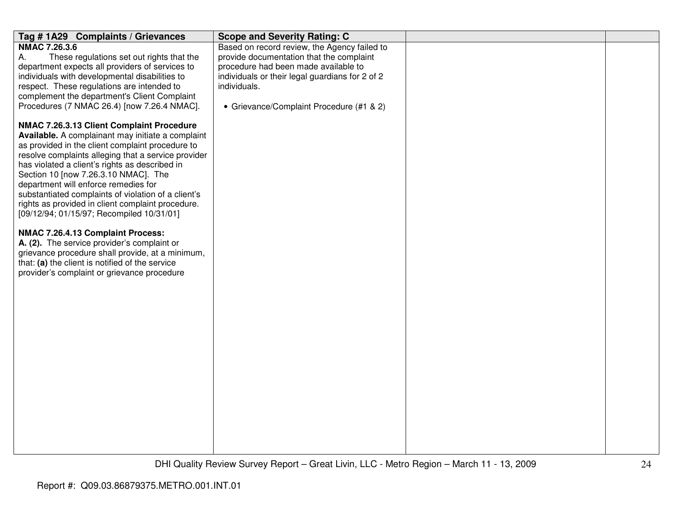| Tag #1A29 Complaints / Grievances                   | <b>Scope and Severity Rating: C</b>             |  |
|-----------------------------------------------------|-------------------------------------------------|--|
| <b>NMAC 7.26.3.6</b>                                | Based on record review, the Agency failed to    |  |
| Α.<br>These regulations set out rights that the     | provide documentation that the complaint        |  |
| department expects all providers of services to     | procedure had been made available to            |  |
| individuals with developmental disabilities to      | individuals or their legal guardians for 2 of 2 |  |
| respect. These regulations are intended to          | individuals.                                    |  |
| complement the department's Client Complaint        |                                                 |  |
| Procedures (7 NMAC 26.4) [now 7.26.4 NMAC].         | • Grievance/Complaint Procedure (#1 & 2)        |  |
| NMAC 7.26.3.13 Client Complaint Procedure           |                                                 |  |
| Available. A complainant may initiate a complaint   |                                                 |  |
| as provided in the client complaint procedure to    |                                                 |  |
| resolve complaints alleging that a service provider |                                                 |  |
| has violated a client's rights as described in      |                                                 |  |
| Section 10 [now 7.26.3.10 NMAC]. The                |                                                 |  |
| department will enforce remedies for                |                                                 |  |
| substantiated complaints of violation of a client's |                                                 |  |
| rights as provided in client complaint procedure.   |                                                 |  |
| [09/12/94; 01/15/97; Recompiled 10/31/01]           |                                                 |  |
| NMAC 7.26.4.13 Complaint Process:                   |                                                 |  |
| A. (2). The service provider's complaint or         |                                                 |  |
| grievance procedure shall provide, at a minimum,    |                                                 |  |
| that: (a) the client is notified of the service     |                                                 |  |
| provider's complaint or grievance procedure         |                                                 |  |
|                                                     |                                                 |  |
|                                                     |                                                 |  |
|                                                     |                                                 |  |
|                                                     |                                                 |  |
|                                                     |                                                 |  |
|                                                     |                                                 |  |
|                                                     |                                                 |  |
|                                                     |                                                 |  |
|                                                     |                                                 |  |
|                                                     |                                                 |  |
|                                                     |                                                 |  |
|                                                     |                                                 |  |
|                                                     |                                                 |  |
|                                                     |                                                 |  |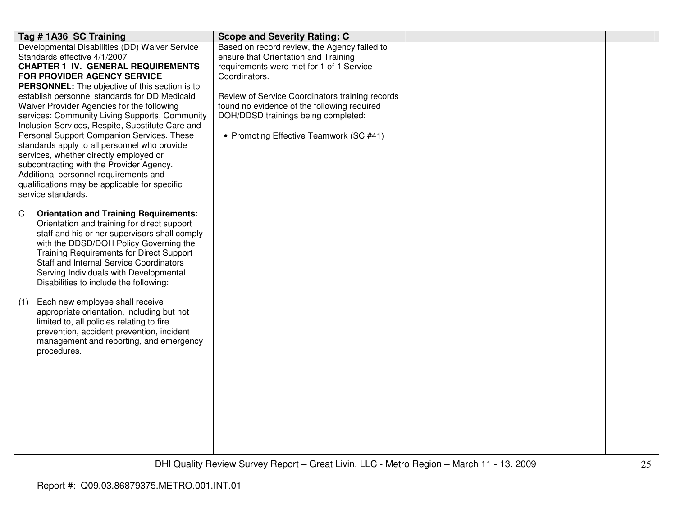| Tag # 1A36 SC Training                              | <b>Scope and Severity Rating: C</b>             |  |
|-----------------------------------------------------|-------------------------------------------------|--|
| Developmental Disabilities (DD) Waiver Service      | Based on record review, the Agency failed to    |  |
| Standards effective 4/1/2007                        | ensure that Orientation and Training            |  |
| <b>CHAPTER 1 IV. GENERAL REQUIREMENTS</b>           | requirements were met for 1 of 1 Service        |  |
| FOR PROVIDER AGENCY SERVICE                         | Coordinators.                                   |  |
| PERSONNEL: The objective of this section is to      |                                                 |  |
| establish personnel standards for DD Medicaid       | Review of Service Coordinators training records |  |
| Waiver Provider Agencies for the following          | found no evidence of the following required     |  |
| services: Community Living Supports, Community      | DOH/DDSD trainings being completed:             |  |
| Inclusion Services, Respite, Substitute Care and    |                                                 |  |
| Personal Support Companion Services. These          | • Promoting Effective Teamwork (SC #41)         |  |
| standards apply to all personnel who provide        |                                                 |  |
| services, whether directly employed or              |                                                 |  |
| subcontracting with the Provider Agency.            |                                                 |  |
| Additional personnel requirements and               |                                                 |  |
| qualifications may be applicable for specific       |                                                 |  |
| service standards.                                  |                                                 |  |
|                                                     |                                                 |  |
| <b>Orientation and Training Requirements:</b><br>C. |                                                 |  |
| Orientation and training for direct support         |                                                 |  |
| staff and his or her supervisors shall comply       |                                                 |  |
| with the DDSD/DOH Policy Governing the              |                                                 |  |
| <b>Training Requirements for Direct Support</b>     |                                                 |  |
| <b>Staff and Internal Service Coordinators</b>      |                                                 |  |
| Serving Individuals with Developmental              |                                                 |  |
| Disabilities to include the following:              |                                                 |  |
|                                                     |                                                 |  |
| Each new employee shall receive<br>(1)              |                                                 |  |
| appropriate orientation, including but not          |                                                 |  |
| limited to, all policies relating to fire           |                                                 |  |
| prevention, accident prevention, incident           |                                                 |  |
| management and reporting, and emergency             |                                                 |  |
| procedures.                                         |                                                 |  |
|                                                     |                                                 |  |
|                                                     |                                                 |  |
|                                                     |                                                 |  |
|                                                     |                                                 |  |
|                                                     |                                                 |  |
|                                                     |                                                 |  |
|                                                     |                                                 |  |
|                                                     |                                                 |  |
|                                                     |                                                 |  |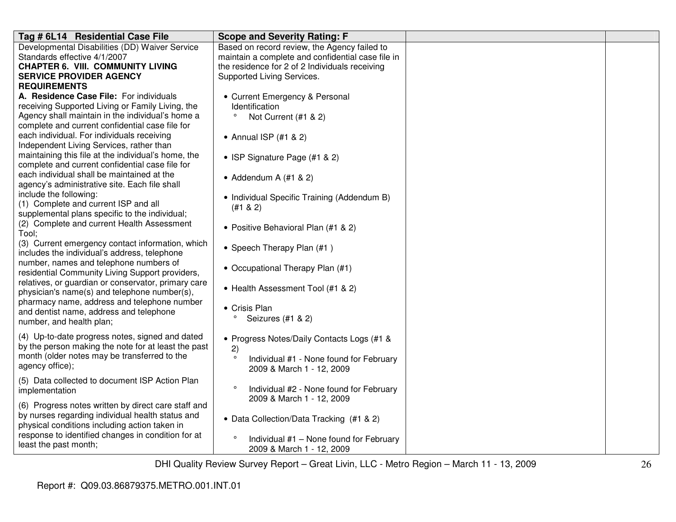| Tag # 6L14 Residential Case File                    | <b>Scope and Severity Rating: F</b>               |  |
|-----------------------------------------------------|---------------------------------------------------|--|
| Developmental Disabilities (DD) Waiver Service      | Based on record review, the Agency failed to      |  |
| Standards effective 4/1/2007                        | maintain a complete and confidential case file in |  |
| <b>CHAPTER 6. VIII. COMMUNITY LIVING</b>            | the residence for 2 of 2 Individuals receiving    |  |
| <b>SERVICE PROVIDER AGENCY</b>                      | Supported Living Services.                        |  |
| <b>REQUIREMENTS</b>                                 |                                                   |  |
| A. Residence Case File: For individuals             | • Current Emergency & Personal                    |  |
| receiving Supported Living or Family Living, the    | <b>Identification</b>                             |  |
| Agency shall maintain in the individual's home a    | $\circ$<br>Not Current (#1 & 2)                   |  |
| complete and current confidential case file for     |                                                   |  |
| each individual. For individuals receiving          | • Annual ISP (#1 & 2)                             |  |
| Independent Living Services, rather than            |                                                   |  |
| maintaining this file at the individual's home, the | • ISP Signature Page (#1 & 2)                     |  |
| complete and current confidential case file for     |                                                   |  |
| each individual shall be maintained at the          | • Addendum A $(\#1 \& 2)$                         |  |
| agency's administrative site. Each file shall       |                                                   |  |
| include the following:                              | • Individual Specific Training (Addendum B)       |  |
| (1) Complete and current ISP and all                | (#1 & 2)                                          |  |
| supplemental plans specific to the individual;      |                                                   |  |
| (2) Complete and current Health Assessment          | • Positive Behavioral Plan (#1 & 2)               |  |
| Tool;                                               |                                                   |  |
| (3) Current emergency contact information, which    | • Speech Therapy Plan (#1)                        |  |
| includes the individual's address, telephone        |                                                   |  |
| number, names and telephone numbers of              | • Occupational Therapy Plan (#1)                  |  |
| residential Community Living Support providers,     |                                                   |  |
| relatives, or guardian or conservator, primary care | • Health Assessment Tool (#1 & 2)                 |  |
| physician's name(s) and telephone number(s),        |                                                   |  |
| pharmacy name, address and telephone number         | • Crisis Plan                                     |  |
| and dentist name, address and telephone             | $\circ$                                           |  |
| number, and health plan;                            | Seizures (#1 & 2)                                 |  |
| (4) Up-to-date progress notes, signed and dated     |                                                   |  |
| by the person making the note for at least the past | • Progress Notes/Daily Contacts Logs (#1 &        |  |
| month (older notes may be transferred to the        | 2)<br>$\circ$                                     |  |
| agency office);                                     | Individual #1 - None found for February           |  |
|                                                     | 2009 & March 1 - 12, 2009                         |  |
| (5) Data collected to document ISP Action Plan      | $\circ$                                           |  |
| implementation                                      | Individual #2 - None found for February           |  |
| (6) Progress notes written by direct care staff and | 2009 & March 1 - 12, 2009                         |  |
| by nurses regarding individual health status and    |                                                   |  |
| physical conditions including action taken in       | • Data Collection/Data Tracking (#1 & 2)          |  |
| response to identified changes in condition for at  |                                                   |  |
| least the past month;                               | Individual #1 - None found for February           |  |
|                                                     | 2009 & March 1 - 12, 2009                         |  |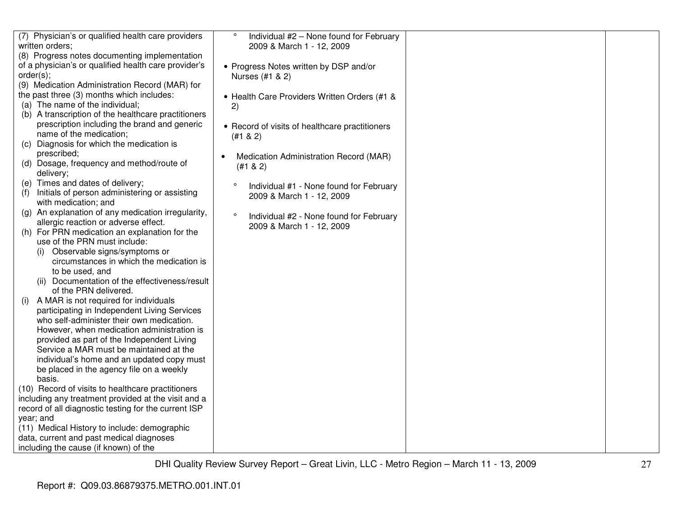| (7) Physician's or qualified health care providers   | $\circ$<br>Individual #2 - None found for February |  |
|------------------------------------------------------|----------------------------------------------------|--|
| written orders;                                      | 2009 & March 1 - 12, 2009                          |  |
| (8) Progress notes documenting implementation        |                                                    |  |
| of a physician's or qualified health care provider's | • Progress Notes written by DSP and/or             |  |
| order(s);                                            | Nurses (#1 & 2)                                    |  |
| (9) Medication Administration Record (MAR) for       |                                                    |  |
| the past three (3) months which includes:            | • Health Care Providers Written Orders (#1 &       |  |
| (a) The name of the individual;                      | 2)                                                 |  |
| (b) A transcription of the healthcare practitioners  |                                                    |  |
| prescription including the brand and generic         | • Record of visits of healthcare practitioners     |  |
| name of the medication;                              | (#1 & 2)                                           |  |
| (c) Diagnosis for which the medication is            |                                                    |  |
| prescribed;                                          | Medication Administration Record (MAR)             |  |
| (d) Dosage, frequency and method/route of            | (#1 & 2)                                           |  |
| delivery;                                            |                                                    |  |
| (e) Times and dates of delivery;                     | Individual #1 - None found for February            |  |
| Initials of person administering or assisting<br>(t) | 2009 & March 1 - 12, 2009                          |  |
| with medication; and                                 |                                                    |  |
| (g) An explanation of any medication irregularity,   | $\circ$<br>Individual #2 - None found for February |  |
| allergic reaction or adverse effect.                 | 2009 & March 1 - 12, 2009                          |  |
| For PRN medication an explanation for the<br>(h)     |                                                    |  |
| use of the PRN must include:                         |                                                    |  |
| Observable signs/symptoms or                         |                                                    |  |
| circumstances in which the medication is             |                                                    |  |
| to be used, and                                      |                                                    |  |
| Documentation of the effectiveness/result            |                                                    |  |
| of the PRN delivered.                                |                                                    |  |
| A MAR is not required for individuals<br>(1)         |                                                    |  |
| participating in Independent Living Services         |                                                    |  |
| who self-administer their own medication.            |                                                    |  |
| However, when medication administration is           |                                                    |  |
| provided as part of the Independent Living           |                                                    |  |
| Service a MAR must be maintained at the              |                                                    |  |
| individual's home and an updated copy must           |                                                    |  |
| be placed in the agency file on a weekly             |                                                    |  |
| basis.                                               |                                                    |  |
| (10) Record of visits to healthcare practitioners    |                                                    |  |
| including any treatment provided at the visit and a  |                                                    |  |
| record of all diagnostic testing for the current ISP |                                                    |  |
| year; and                                            |                                                    |  |
| (11) Medical History to include: demographic         |                                                    |  |
| data, current and past medical diagnoses             |                                                    |  |
| including the cause (if known) of the                |                                                    |  |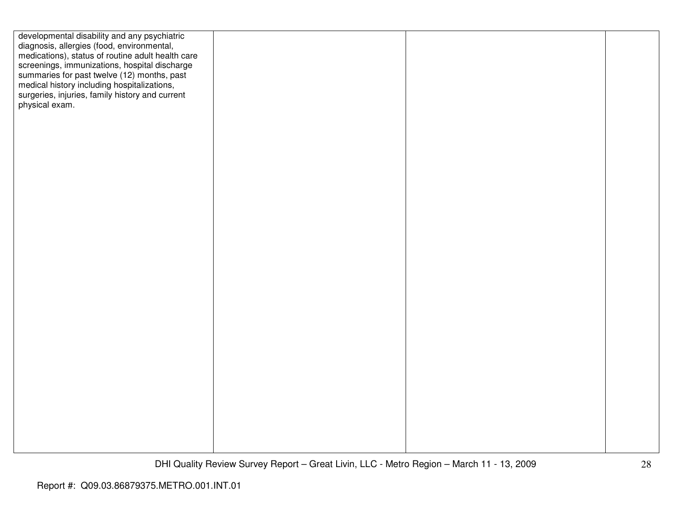| developmental disability and any psychiatric      |  |  |
|---------------------------------------------------|--|--|
| diagnosis, allergies (food, environmental,        |  |  |
| medications), status of routine adult health care |  |  |
| screenings, immunizations, hospital discharge     |  |  |
| summaries for past twelve (12) months, past       |  |  |
| medical history including hospitalizations,       |  |  |
| surgeries, injuries, family history and current   |  |  |
| physical exam.                                    |  |  |
|                                                   |  |  |
|                                                   |  |  |
|                                                   |  |  |
|                                                   |  |  |
|                                                   |  |  |
|                                                   |  |  |
|                                                   |  |  |
|                                                   |  |  |
|                                                   |  |  |
|                                                   |  |  |
|                                                   |  |  |
|                                                   |  |  |
|                                                   |  |  |
|                                                   |  |  |
|                                                   |  |  |
|                                                   |  |  |
|                                                   |  |  |
|                                                   |  |  |
|                                                   |  |  |
|                                                   |  |  |
|                                                   |  |  |
|                                                   |  |  |
|                                                   |  |  |
|                                                   |  |  |
|                                                   |  |  |
|                                                   |  |  |
|                                                   |  |  |
|                                                   |  |  |
|                                                   |  |  |
|                                                   |  |  |
|                                                   |  |  |
|                                                   |  |  |
|                                                   |  |  |
|                                                   |  |  |
|                                                   |  |  |
|                                                   |  |  |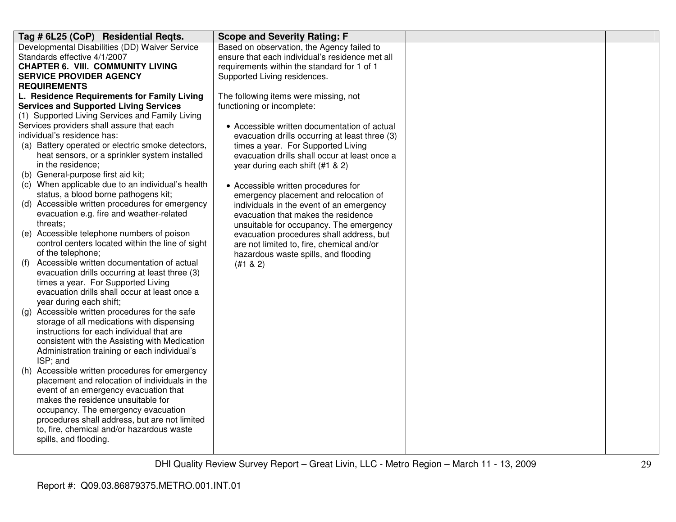| Tag # 6L25 (CoP) Residential Reqts.                                                                | <b>Scope and Severity Rating: F</b>                                                 |  |
|----------------------------------------------------------------------------------------------------|-------------------------------------------------------------------------------------|--|
| Developmental Disabilities (DD) Waiver Service                                                     | Based on observation, the Agency failed to                                          |  |
| Standards effective 4/1/2007                                                                       | ensure that each individual's residence met all                                     |  |
| <b>CHAPTER 6. VIII. COMMUNITY LIVING</b>                                                           | requirements within the standard for 1 of 1                                         |  |
| <b>SERVICE PROVIDER AGENCY</b>                                                                     | Supported Living residences.                                                        |  |
| <b>REQUIREMENTS</b>                                                                                |                                                                                     |  |
| L. Residence Requirements for Family Living                                                        | The following items were missing, not                                               |  |
| <b>Services and Supported Living Services</b>                                                      | functioning or incomplete:                                                          |  |
| (1) Supported Living Services and Family Living                                                    |                                                                                     |  |
| Services providers shall assure that each                                                          | • Accessible written documentation of actual                                        |  |
| individual's residence has:                                                                        | evacuation drills occurring at least three (3)                                      |  |
| (a) Battery operated or electric smoke detectors,<br>heat sensors, or a sprinkler system installed | times a year. For Supported Living<br>evacuation drills shall occur at least once a |  |
| in the residence;                                                                                  | year during each shift (#1 & 2)                                                     |  |
| (b) General-purpose first aid kit;                                                                 |                                                                                     |  |
| (c) When applicable due to an individual's health                                                  | • Accessible written procedures for                                                 |  |
| status, a blood borne pathogens kit;                                                               | emergency placement and relocation of                                               |  |
| (d) Accessible written procedures for emergency                                                    | individuals in the event of an emergency                                            |  |
| evacuation e.g. fire and weather-related                                                           | evacuation that makes the residence                                                 |  |
| threats;                                                                                           | unsuitable for occupancy. The emergency                                             |  |
| (e) Accessible telephone numbers of poison                                                         | evacuation procedures shall address, but                                            |  |
| control centers located within the line of sight                                                   | are not limited to, fire, chemical and/or                                           |  |
| of the telephone;                                                                                  | hazardous waste spills, and flooding                                                |  |
| Accessible written documentation of actual<br>(f)                                                  | (#1 & 2)                                                                            |  |
| evacuation drills occurring at least three (3)                                                     |                                                                                     |  |
| times a year. For Supported Living                                                                 |                                                                                     |  |
| evacuation drills shall occur at least once a                                                      |                                                                                     |  |
| year during each shift;                                                                            |                                                                                     |  |
| (g) Accessible written procedures for the safe                                                     |                                                                                     |  |
| storage of all medications with dispensing                                                         |                                                                                     |  |
| instructions for each individual that are                                                          |                                                                                     |  |
| consistent with the Assisting with Medication                                                      |                                                                                     |  |
| Administration training or each individual's<br>ISP; and                                           |                                                                                     |  |
| (h) Accessible written procedures for emergency                                                    |                                                                                     |  |
| placement and relocation of individuals in the                                                     |                                                                                     |  |
| event of an emergency evacuation that                                                              |                                                                                     |  |
| makes the residence unsuitable for                                                                 |                                                                                     |  |
| occupancy. The emergency evacuation                                                                |                                                                                     |  |
| procedures shall address, but are not limited                                                      |                                                                                     |  |
| to, fire, chemical and/or hazardous waste                                                          |                                                                                     |  |
| spills, and flooding.                                                                              |                                                                                     |  |
|                                                                                                    |                                                                                     |  |